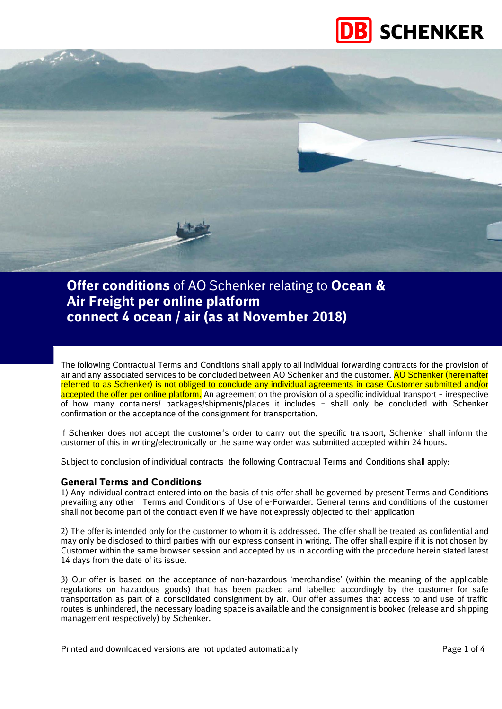



**Offer conditions** of AO Schenker relating to **Ocean & Air Freight per online platform connect 4 ocean / air (as at November 2018)**

The following Contractual Terms and Conditions shall apply to all individual forwarding contracts for the provision of air and any associated services to be concluded between AO Schenker and the customer. AO Schenker (hereinafter referred to as Schenker) is not obliged to conclude any individual agreements in case Customer submitted and/or accepted the offer per online platform. An agreement on the provision of a specific individual transport - irrespective of how many containers/ packages/shipments/places it includes – shall only be concluded with Schenker confirmation or the acceptance of the consignment for transportation.

If Schenker does not accept the customer's order to carry out the specific transport, Schenker shall inform the customer of this in writing/electronically or the same way order was submitted accepted within 24 hours.

Subject to conclusion of individual contracts the following Contractual Terms and Conditions shall apply:

#### **General Terms and Conditions**

1) Any individual contract entered into on the basis of this offer shall be governed by present Terms and Conditions prevailing any other Terms and Conditions of Use of e-Forwarder. General terms and conditions of the customer shall not become part of the contract even if we have not expressly objected to their application

2) The offer is intended only for the customer to whom it is addressed. The offer shall be treated as confidential and may only be disclosed to third parties with our express consent in writing. The offer shall expire if it is not chosen by Customer within the same browser session and accepted by us in according with the procedure herein stated latest 14 days from the date of its issue.

3) Our offer is based on the acceptance of non-hazardous 'merchandise' (within the meaning of the applicable regulations on hazardous goods) that has been packed and labelled accordingly by the customer for safe transportation as part of a consolidated consignment by air. Our offer assumes that access to and use of traffic routes is unhindered, the necessary loading space is available and the consignment is booked (release and shipping management respectively) by Schenker.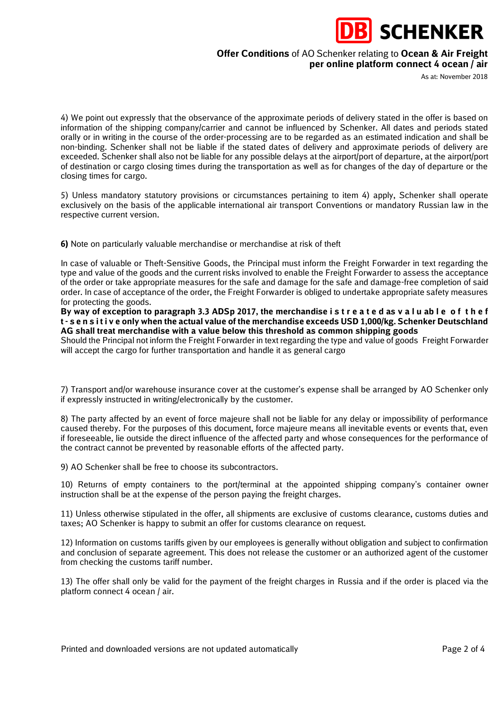# **SCHENKER**

### **Offer Conditions** of AO Schenker relating to **Ocean & Air Freight**

**per online platform connect 4 ocean / air**

As at: November 2018

4) We point out expressly that the observance of the approximate periods of delivery stated in the offer is based on information of the shipping company/carrier and cannot be influenced by Schenker. All dates and periods stated orally or in writing in the course of the order-processing are to be regarded as an estimated indication and shall be non-binding. Schenker shall not be liable if the stated dates of delivery and approximate periods of delivery are exceeded. Schenker shall also not be liable for any possible delays at the airport/port of departure, at the airport/port of destination or cargo closing times during the transportation as well as for changes of the day of departure or the closing times for cargo.

5) Unless mandatory statutory provisions or circumstances pertaining to item 4) apply, Schenker shall operate exclusively on the basis of the applicable international air transport Conventions or mandatory Russian law in the respective current version.

**6)** Note on particularly valuable merchandise or merchandise at risk of theft

In case of valuable or Theft-Sensitive Goods, the Principal must inform the Freight Forwarder in text regarding the type and value of the goods and the current risks involved to enable the Freight Forwarder to assess the acceptance of the order or take appropriate measures for the safe and damage for the safe and damage-free completion of said order. In case of acceptance of the order, the Freight Forwarder is obliged to undertake appropriate safety measures for protecting the goods.

**By way of exception to paragraph 3.3 ADSp 2017, the merchandise i s t r e a t e d as v a l u ab l e o f t h e f t - s e n s i t i v e only when the actual value of the merchandise exceeds USD 1,000/kg. Schenker Deutschland AG shall treat merchandise with a value below this threshold as common shipping goods**

Should the Principal not inform the Freight Forwarder in text regarding the type and value of goods Freight Forwarder will accept the cargo for further transportation and handle it as general cargo

7) Transport and/or warehouse insurance cover at the customer's expense shall be arranged by AO Schenker only if expressly instructed in writing/electronically by the customer.

8) The party affected by an event of force majeure shall not be liable for any delay or impossibility of performance caused thereby. For the purposes of this document, force majeure means all inevitable events or events that, even if foreseeable, lie outside the direct influence of the affected party and whose consequences for the performance of the contract cannot be prevented by reasonable efforts of the affected party.

9) AO Schenker shall be free to choose its subcontractors.

10) Returns of empty containers to the port/terminal at the appointed shipping company's container owner instruction shall be at the expense of the person paying the freight charges.

11) Unless otherwise stipulated in the offer, all shipments are exclusive of customs clearance, customs duties and taxes; AO Schenker is happy to submit an offer for customs clearance on request.

12) Information on customs tariffs given by our employees is generally without obligation and subject to confirmation and conclusion of separate agreement. This does not release the customer or an authorized agent of the customer from checking the customs tariff number.

13) The offer shall only be valid for the payment of the freight charges in Russia and if the order is placed via the platform connect 4 ocean / air.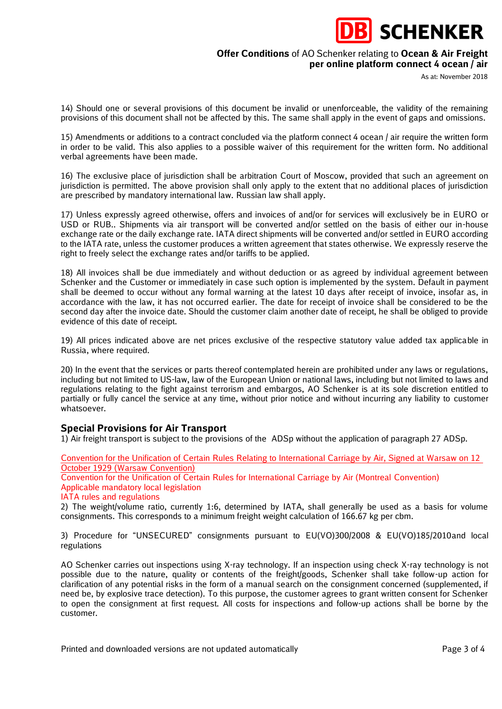# **SCHENKER**

### **Offer Conditions** of AO Schenker relating to **Ocean & Air Freight**

**per online platform connect 4 ocean / air**

As at: November 2018

14) Should one or several provisions of this document be invalid or unenforceable, the validity of the remaining provisions of this document shall not be affected by this. The same shall apply in the event of gaps and omissions.

15) Amendments or additions to a contract concluded via the platform connect 4 ocean / air require the written form in order to be valid. This also applies to a possible waiver of this requirement for the written form. No additional verbal agreements have been made.

16) The exclusive place of jurisdiction shall be arbitration Court of Moscow, provided that such an agreement on jurisdiction is permitted. The above provision shall only apply to the extent that no additional places of jurisdiction are prescribed by mandatory international law. Russian law shall apply.

17) Unless expressly agreed otherwise, offers and invoices of and/or for services will exclusively be in EURO or USD or RUB.. Shipments via air transport will be converted and/or settled on the basis of either our in-house exchange rate or the daily exchange rate. IATA direct shipments will be converted and/or settled in EURO according to the IATA rate, unless the customer produces a written agreement that states otherwise. We expressly reserve the right to freely select the exchange rates and/or tariffs to be applied.

18) All invoices shall be due immediately and without deduction or as agreed by individual agreement between Schenker and the Customer or immediately in case such option is implemented by the system. Default in payment shall be deemed to occur without any formal warning at the latest 10 days after receipt of invoice, insofar as, in accordance with the law, it has not occurred earlier. The date for receipt of invoice shall be considered to be the second day after the invoice date. Should the customer claim another date of receipt, he shall be obliged to provide evidence of this date of receipt.

19) All prices indicated above are net prices exclusive of the respective statutory value added tax applicable in Russia, where required.

20) In the event that the services or parts thereof contemplated herein are prohibited under any laws or regulations, including but not limited to US-law, law of the European Union or national laws, including but not limited to laws and regulations relating to the fight against terrorism and embargos, AO Schenker is at its sole discretion entitled to partially or fully cancel the service at any time, without prior notice and without incurring any liability to customer whatsoever.

#### **Special Provisions for Air Transport**

1) Air freight transport is subject to the provisions of the ADSp without the application of paragraph 27 ADSp.

[Convention for the Unification of Certain Rules Relating to International Carriage by Air, Signed at Warsaw on 12](https://www.jus.uio.no/lm/air.carriage.warsaw.convention.1929/doc.html#1)  [October 1929 \(Warsaw Convention\)](https://www.jus.uio.no/lm/air.carriage.warsaw.convention.1929/doc.html#1)

Convention for the Unification of Certain Rules for International Carriage by Air (Montreal Convention) Applicable mandatory local legislation

IATA rules and regulations

2) The weight/volume ratio, currently 1:6, determined by IATA, shall generally be used as a basis for volume consignments. This corresponds to a minimum freight weight calculation of 166.67 kg per cbm.

3) Procedure for "UNSECURED" consignments pursuant to EU(VO)300/2008 & EU(VO)185/2010and local regulations

AO Schenker carries out inspections using X-ray technology. If an inspection using check X-ray technology is not possible due to the nature, quality or contents of the freight/goods, Schenker shall take follow-up action for clarification of any potential risks in the form of a manual search on the consignment concerned (supplemented, if need be, by explosive trace detection). To this purpose, the customer agrees to grant written consent for Schenker to open the consignment at first request. All costs for inspections and follow-up actions shall be borne by the customer.